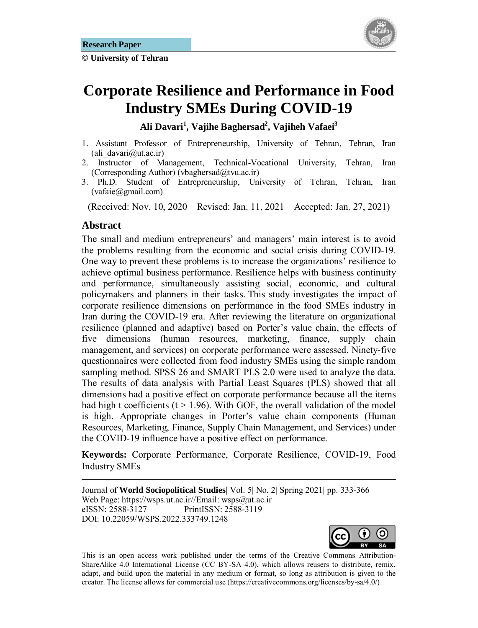**© University of Tehran** 



# **Corporate Resilience and Performance in Food Industry SMEs During COVID-19**

**Ali Davari<sup>1</sup> , Vajihe Baghersad2 , Vajiheh Vafaei3**

- 1. Assistant Professor of Entrepreneurship, University of Tehran, Tehran, Iran (ali\_davari@ut.ac.ir)
- 2. Instructor of Management, Technical-Vocational University, Tehran, Iran (Corresponding Author) (vbaghersad $@tvu.ac.in$ )
- 3. Ph.D. Student of Entrepreneurship, University of Tehran, Tehran, Iran (vafaie@gmail.com)

(Received: Nov. 10, 2020 Revised: Jan. 11, 2021 Accepted: Jan. 27, 2021)

### Abstract

1

The small and medium entrepreneurs' and managers' main interest is to avoid the problems resulting from the economic and social crisis during COVID-19. One way to prevent these problems is to increase the organizations' resilience to achieve optimal business performance. Resilience helps with business continuity and performance, simultaneously assisting social, economic, and cultural policymakers and planners in their tasks. This study investigates the impact of corporate resilience dimensions on performance in the food SMEs industry in Iran during the COVID-19 era. After reviewing the literature on organizational resilience (planned and adaptive) based on Porter's value chain, the effects of five dimensions (human resources, marketing, finance, supply chain management, and services) on corporate performance were assessed. Ninety-five questionnaires were collected from food industry SMEs using the simple random sampling method. SPSS 26 and SMART PLS 2.0 were used to analyze the data. The results of data analysis with Partial Least Squares (PLS) showed that all dimensions had a positive effect on corporate performance because all the items had high t coefficients ( $t > 1.96$ ). With GOF, the overall validation of the model is high. Appropriate changes in Porter's value chain components (Human Resources, Marketing, Finance, Supply Chain Management, and Services) under the COVID-19 influence have a positive effect on performance.

**Keywords:** Corporate Performance, Corporate Resilience, COVID-19, Food Industry SMEs

Journal of **World Sociopolitical Studies**| Vol. 5| No. 2| Spring 2021| pp. 333-366 Web Page: https://wsps.ut.ac.ir//Email: wsps@ut.ac.ir eISSN: 2588-3127 PrintISSN: 2588-3119 DOI: 10.22059/WSPS.2022.333749.1248



This is an open access work published under the terms of the Creative Commons Attribution-ShareAlike 4.0 International License (CC BY-SA 4.0), which allows reusers to distribute, remix, adapt, and build upon the material in any medium or format, so long as attribution is given to the creator. The license allows for commercial use (https://creativecommons.org/licenses/by-sa/4.0/)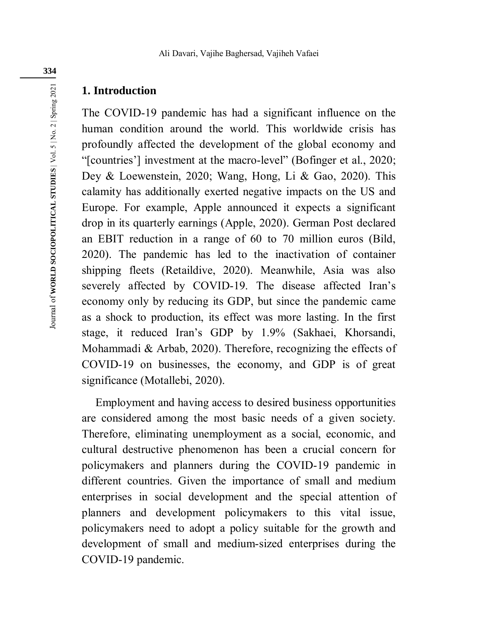### **1. Introduction**

The COVID-19 pandemic has had a significant influence on the human condition around the world. This worldwide crisis has profoundly affected the development of the global economy and "[countries'] investment at the macro-level" (Bofinger et al., 2020; Dey & Loewenstein, 2020; Wang, Hong, Li & Gao, 2020). This calamity has additionally exerted negative impacts on the US and Europe. For example, Apple announced it expects a significant drop in its quarterly earnings (Apple, 2020). German Post declared an EBIT reduction in a range of 60 to 70 million euros (Bild, 2020). The pandemic has led to the inactivation of container shipping fleets (Retaildive, 2020). Meanwhile, Asia was also severely affected by COVID-19. The disease affected Iran's economy only by reducing its GDP, but since the pandemic came as a shock to production, its effect was more lasting. In the first stage, it reduced Iran's GDP by 1.9% (Sakhaei, Khorsandi, Mohammadi & Arbab, 2020). Therefore, recognizing the effects of COVID-19 on businesses, the economy, and GDP is of great significance (Motallebi, 2020).

Employment and having access to desired business opportunities are considered among the most basic needs of a given society. Therefore, eliminating unemployment as a social, economic, and cultural destructive phenomenon has been a crucial concern for policymakers and planners during the COVID-19 pandemic in different countries. Given the importance of small and medium enterprises in social development and the special attention of planners and development policymakers to this vital issue, policymakers need to adopt a policy suitable for the growth and development of small and medium-sized enterprises during the COVID-19 pandemic.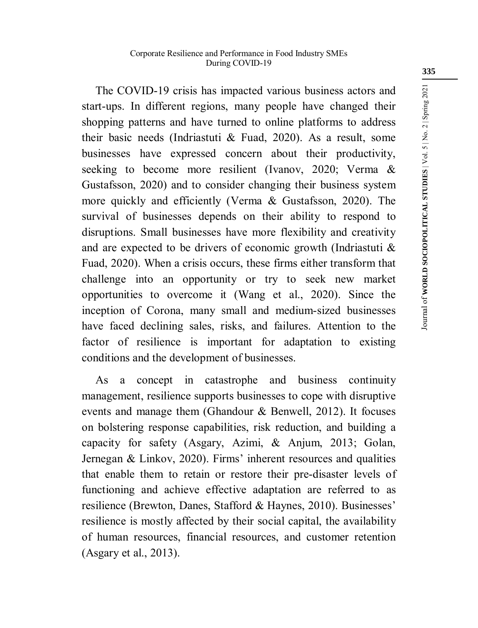The COVID-19 crisis has impacted various business actors and start-ups. In different regions, many people have changed their shopping patterns and have turned to online platforms to address their basic needs (Indriastuti & Fuad, 2020). As a result, some businesses have expressed concern about their productivity, seeking to become more resilient (Ivanov, 2020; Verma & Gustafsson, 2020) and to consider changing their business system more quickly and efficiently (Verma & Gustafsson, 2020). The survival of businesses depends on their ability to respond to disruptions. Small businesses have more flexibility and creativity and are expected to be drivers of economic growth (Indriastuti & Fuad, 2020). When a crisis occurs, these firms either transform that challenge into an opportunity or try to seek new market opportunities to overcome it (Wang et al., 2020). Since the inception of Corona, many small and medium-sized businesses have faced declining sales, risks, and failures. Attention to the factor of resilience is important for adaptation to existing conditions and the development of businesses.

As a concept in catastrophe and business continuity management, resilience supports businesses to cope with disruptive events and manage them (Ghandour & Benwell, 2012). It focuses on bolstering response capabilities, risk reduction, and building a capacity for safety (Asgary, Azimi, & Anjum, 2013; Golan, Jernegan & Linkov, 2020). Firms' inherent resources and qualities that enable them to retain or restore their pre-disaster levels of functioning and achieve effective adaptation are referred to as resilience (Brewton, Danes, Stafford & Haynes, 2010). Businesses' resilience is mostly affected by their social capital, the availability of human resources, financial resources, and customer retention (Asgary et al., 2013).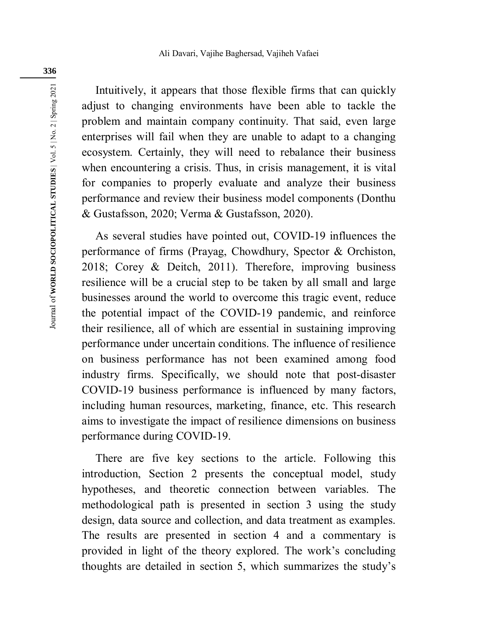Intuitively, it appears that those flexible firms that can quickly adjust to changing environments have been able to tackle the problem and maintain company continuity. That said, even large enterprises will fail when they are unable to adapt to a changing ecosystem. Certainly, they will need to rebalance their business when encountering a crisis. Thus, in crisis management, it is vital for companies to properly evaluate and analyze their business performance and review their business model components (Donthu & Gustafsson, 2020; Verma & Gustafsson, 2020).

As several studies have pointed out, COVID-19 influences the performance of firms (Prayag, Chowdhury, Spector & Orchiston, 2018; Corey & Deitch, 2011). Therefore, improving business resilience will be a crucial step to be taken by all small and large businesses around the world to overcome this tragic event, reduce the potential impact of the COVID-19 pandemic, and reinforce their resilience, all of which are essential in sustaining improving performance under uncertain conditions. The influence of resilience on business performance has not been examined among food industry firms. Specifically, we should note that post-disaster COVID-19 business performance is influenced by many factors, including human resources, marketing, finance, etc. This research aims to investigate the impact of resilience dimensions on business performance during COVID-19.

There are five key sections to the article. Following this introduction, Section 2 presents the conceptual model, study hypotheses, and theoretic connection between variables. The methodological path is presented in section 3 using the study design, data source and collection, and data treatment as examples. The results are presented in section 4 and a commentary is provided in light of the theory explored. The work's concluding thoughts are detailed in section 5, which summarizes the study's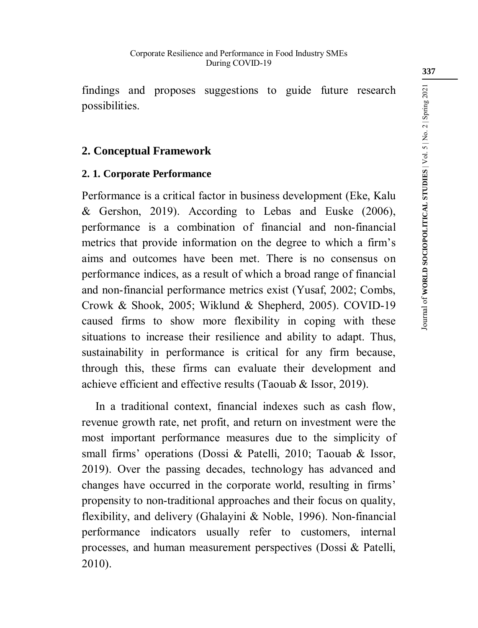findings and proposes suggestions to guide future research possibilities.

# **2. Conceptual Framework**

# **2. 1. Corporate Performance**

Performance is a critical factor in business development (Eke, Kalu & Gershon, 2019). According to Lebas and Euske (2006), performance is a combination of financial and non-financial metrics that provide information on the degree to which a firm's aims and outcomes have been met. There is no consensus on performance indices, as a result of which a broad range of financial and non-financial performance metrics exist (Yusaf, 2002; Combs, Crowk & Shook, 2005; Wiklund & Shepherd, 2005). COVID-19 caused firms to show more flexibility in coping with these situations to increase their resilience and ability to adapt. Thus, sustainability in performance is critical for any firm because, through this, these firms can evaluate their development and achieve efficient and effective results (Taouab & Issor, 2019).

In a traditional context, financial indexes such as cash flow, revenue growth rate, net profit, and return on investment were the most important performance measures due to the simplicity of small firms' operations (Dossi & Patelli, 2010; Taouab & Issor, 2019). Over the passing decades, technology has advanced and changes have occurred in the corporate world, resulting in firms' propensity to non-traditional approaches and their focus on quality, flexibility, and delivery (Ghalayini & Noble, 1996). Non-financial performance indicators usually refer to customers, internal processes, and human measurement perspectives (Dossi & Patelli, 2010).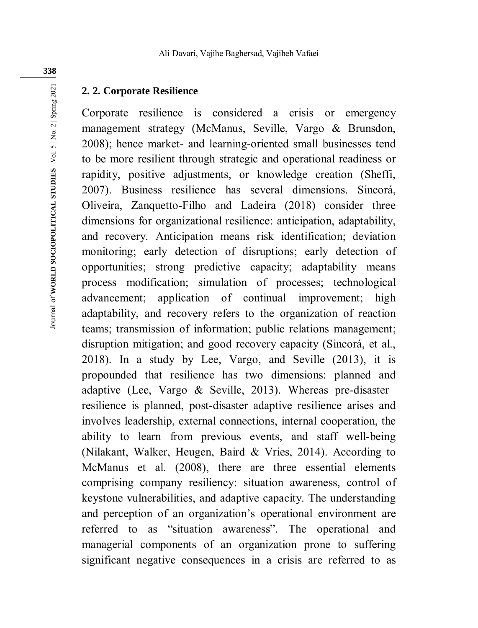### **2. 2. Corporate Resilience**

Corporate resilience is considered a crisis or emergency management strategy (McManus, Seville, Vargo & Brunsdon, 2008); hence market- and learning-oriented small businesses tend to be more resilient through strategic and operational readiness or rapidity, positive adjustments, or knowledge creation (Sheffi, 2007). Business resilience has several dimensions. Sincorá, Oliveira, Zanquetto-Filho and Ladeira (2018) consider three dimensions for organizational resilience: anticipation, adaptability, and recovery. Anticipation means risk identification; deviation monitoring; early detection of disruptions; early detection of opportunities; strong predictive capacity; adaptability means process modification; simulation of processes; technological advancement; application of continual improvement; high adaptability, and recovery refers to the organization of reaction teams; transmission of information; public relations management; disruption mitigation; and good recovery capacity (Sincorá, et al., 2018). In a study by Lee, Vargo, and Seville (2013), it is propounded that resilience has two dimensions: planned and adaptive (Lee, Vargo & Seville, 2013). Whereas pre-disaster resilience is planned, post-disaster adaptive resilience arises and involves leadership, external connections, internal cooperation, the ability to learn from previous events, and staff well-being (Nilakant, Walker, Heugen, Baird & Vries, 2014). According to McManus et al. (2008), there are three essential elements comprising company resiliency: situation awareness, control of keystone vulnerabilities, and adaptive capacity. The understanding and perception of an organization's operational environment are referred to as "situation awareness". The operational and managerial components of an organization prone to suffering significant negative consequences in a crisis are referred to as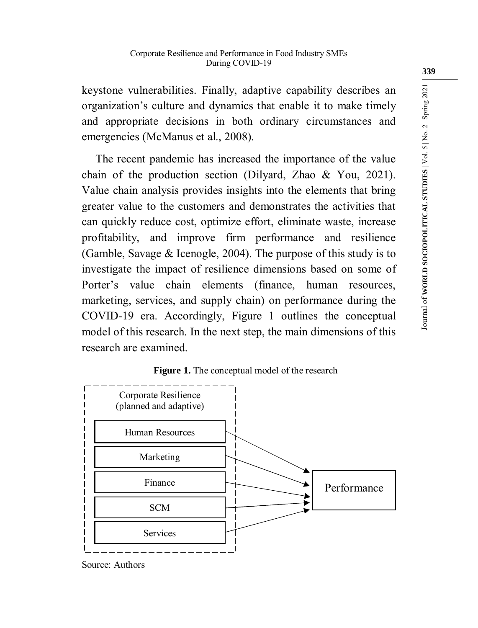keystone vulnerabilities. Finally, adaptive capability describes an organization's culture and dynamics that enable it to make timely and appropriate decisions in both ordinary circumstances and emergencies (McManus et al., 2008).

The recent pandemic has increased the importance of the value chain of the production section (Dilyard, Zhao & You, 2021). Value chain analysis provides insights into the elements that bring greater value to the customers and demonstrates the activities that can quickly reduce cost, optimize effort, eliminate waste, increase profitability, and improve firm performance and resilience (Gamble, Savage & Icenogle, 2004). The purpose of this study is to investigate the impact of resilience dimensions based on some of Porter's value chain elements (finance, human resources, marketing, services, and supply chain) on performance during the COVID-19 era. Accordingly, Figure 1 outlines the conceptual model of this research. In the next step, the main dimensions of this research are examined.

# Corporate Resilience (planned and adaptive) Human Resources ı  $\overline{1}$ Marketing  $\overline{1}$ Finance Performance  $\mathbf{I}$ I SCM  $\overline{\phantom{a}}$ Services

**Figure 1.** The conceptual model of the research

Source: Authors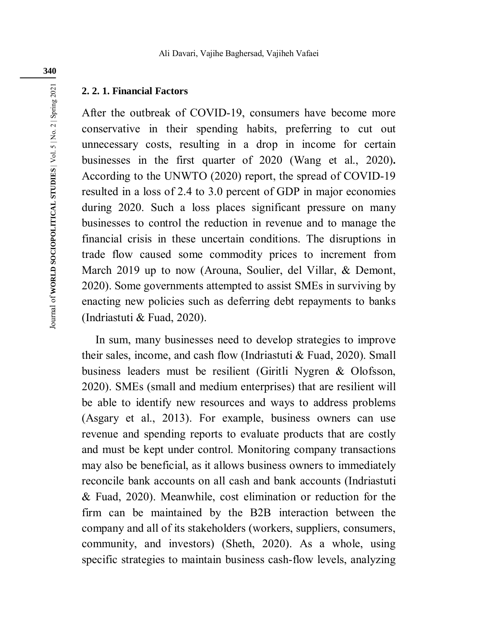#### **2. 2. 1. Financial Factors**

After the outbreak of COVID-19, consumers have become more conservative in their spending habits, preferring to cut out unnecessary costs, resulting in a drop in income for certain businesses in the first quarter of 2020 (Wang et al., 2020)**.** According to the UNWTO (2020) report, the spread of COVID-19 resulted in a loss of 2.4 to 3.0 percent of GDP in major economies during 2020. Such a loss places significant pressure on many businesses to control the reduction in revenue and to manage the financial crisis in these uncertain conditions. The disruptions in trade flow caused some commodity prices to increment from March 2019 up to now (Arouna, Soulier, del Villar, & Demont, 2020). Some governments attempted to assist SMEs in surviving by enacting new policies such as deferring debt repayments to banks (Indriastuti & Fuad, 2020).

In sum, many businesses need to develop strategies to improve their sales, income, and cash flow (Indriastuti & Fuad, 2020). Small business leaders must be resilient (Giritli Nygren & Olofsson, 2020). SMEs (small and medium enterprises) that are resilient will be able to identify new resources and ways to address problems (Asgary et al., 2013). For example, business owners can use revenue and spending reports to evaluate products that are costly and must be kept under control. Monitoring company transactions may also be beneficial, as it allows business owners to immediately reconcile bank accounts on all cash and bank accounts (Indriastuti & Fuad, 2020). Meanwhile, cost elimination or reduction for the firm can be maintained by the B2B interaction between the company and all of its stakeholders (workers, suppliers, consumers, community, and investors) (Sheth, 2020). As a whole, using specific strategies to maintain business cash-flow levels, analyzing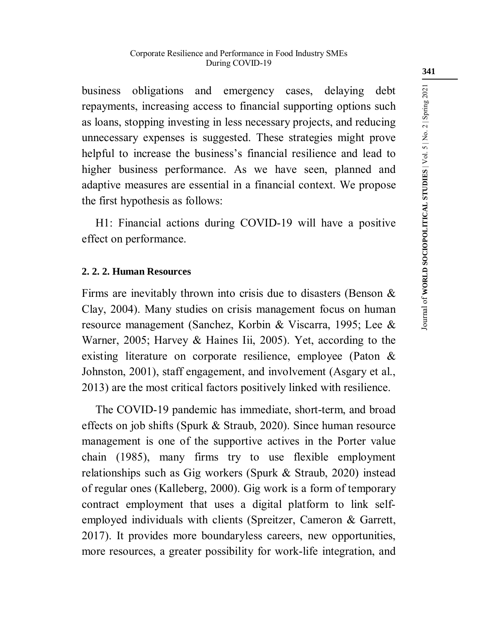business obligations and emergency cases, delaying debt repayments, increasing access to financial supporting options such as loans, stopping investing in less necessary projects, and reducing unnecessary expenses is suggested. These strategies might prove helpful to increase the business's financial resilience and lead to higher business performance. As we have seen, planned and adaptive measures are essential in a financial context. We propose the first hypothesis as follows:

H1: Financial actions during COVID-19 will have a positive effect on performance.

### **2. 2. 2. Human Resources**

Firms are inevitably thrown into crisis due to disasters (Benson & Clay, 2004). Many studies on crisis management focus on human resource management (Sanchez, Korbin & Viscarra, 1995; Lee & Warner, 2005; Harvey & Haines Iii, 2005). Yet, according to the existing literature on corporate resilience, employee (Paton & Johnston, 2001), staff engagement, and involvement (Asgary et al., 2013) are the most critical factors positively linked with resilience.

The COVID-19 pandemic has immediate, short-term, and broad effects on job shifts (Spurk & Straub, 2020). Since human resource management is one of the supportive actives in the Porter value chain (1985), many firms try to use flexible employment relationships such as Gig workers (Spurk & Straub, 2020) instead of regular ones (Kalleberg, 2000). Gig work is a form of temporary contract employment that uses a digital platform to link selfemployed individuals with clients (Spreitzer, Cameron & Garrett, 2017). It provides more boundaryless careers, new opportunities, more resources, a greater possibility for work-life integration, and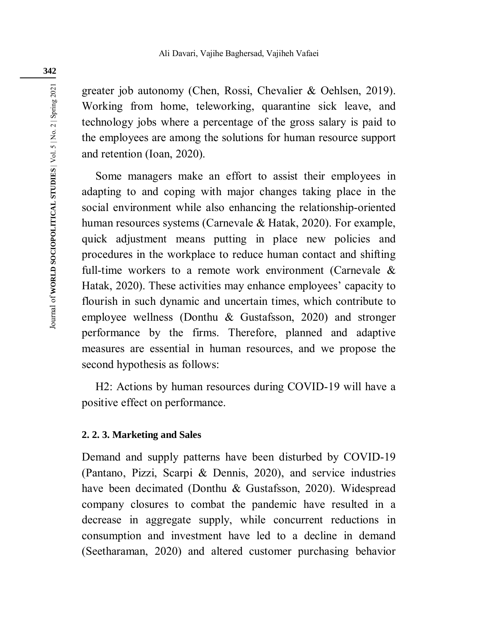greater job autonomy (Chen, Rossi, Chevalier & Oehlsen, 2019). Working from home, teleworking, quarantine sick leave, and technology jobs where a percentage of the gross salary is paid to the employees are among the solutions for human resource support and retention (Ioan, 2020).

Some managers make an effort to assist their employees in adapting to and coping with major changes taking place in the social environment while also enhancing the relationship-oriented human resources systems (Carnevale & Hatak, 2020). For example, quick adjustment means putting in place new policies and procedures in the workplace to reduce human contact and shifting full-time workers to a remote work environment (Carnevale & Hatak, 2020). These activities may enhance employees' capacity to flourish in such dynamic and uncertain times, which contribute to employee wellness (Donthu & Gustafsson, 2020) and stronger performance by the firms. Therefore, planned and adaptive measures are essential in human resources, and we propose the second hypothesis as follows:

H2: Actions by human resources during COVID-19 will have a positive effect on performance.

### **2. 2. 3. Marketing and Sales**

Demand and supply patterns have been disturbed by COVID-19 (Pantano, Pizzi, Scarpi & Dennis, 2020), and service industries have been decimated (Donthu & Gustafsson, 2020). Widespread company closures to combat the pandemic have resulted in a decrease in aggregate supply, while concurrent reductions in consumption and investment have led to a decline in demand (Seetharaman, 2020) and altered customer purchasing behavior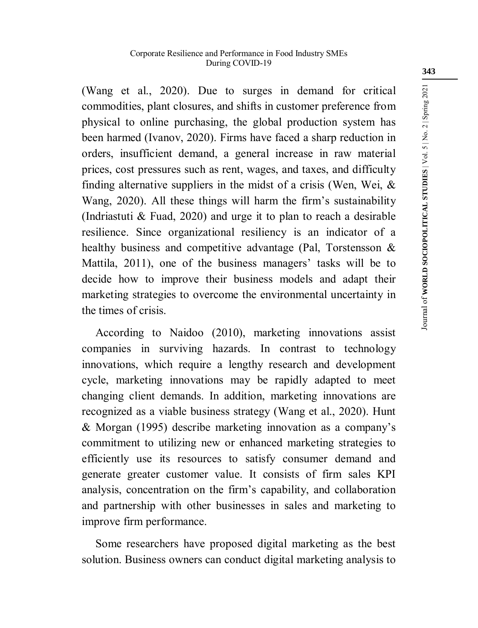(Wang et al., 2020). Due to surges in demand for critical commodities, plant closures, and shifts in customer preference from physical to online purchasing, the global production system has been harmed (Ivanov, 2020). Firms have faced a sharp reduction in orders, insufficient demand, a general increase in raw material prices, cost pressures such as rent, wages, and taxes, and difficulty finding alternative suppliers in the midst of a crisis (Wen, Wei,  $\&$ Wang, 2020). All these things will harm the firm's sustainability (Indriastuti & Fuad, 2020) and urge it to plan to reach a desirable resilience. Since organizational resiliency is an indicator of a healthy business and competitive advantage (Pal, Torstensson & Mattila, 2011), one of the business managers' tasks will be to decide how to improve their business models and adapt their marketing strategies to overcome the environmental uncertainty in the times of crisis.

According to Naidoo (2010), marketing innovations assist companies in surviving hazards. In contrast to technology innovations, which require a lengthy research and development cycle, marketing innovations may be rapidly adapted to meet changing client demands. In addition, marketing innovations are recognized as a viable business strategy (Wang et al., 2020). Hunt & Morgan (1995) describe marketing innovation as a company's commitment to utilizing new or enhanced marketing strategies to efficiently use its resources to satisfy consumer demand and generate greater customer value. It consists of firm sales KPI analysis, concentration on the firm's capability, and collaboration and partnership with other businesses in sales and marketing to improve firm performance.

Some researchers have proposed digital marketing as the best solution. Business owners can conduct digital marketing analysis to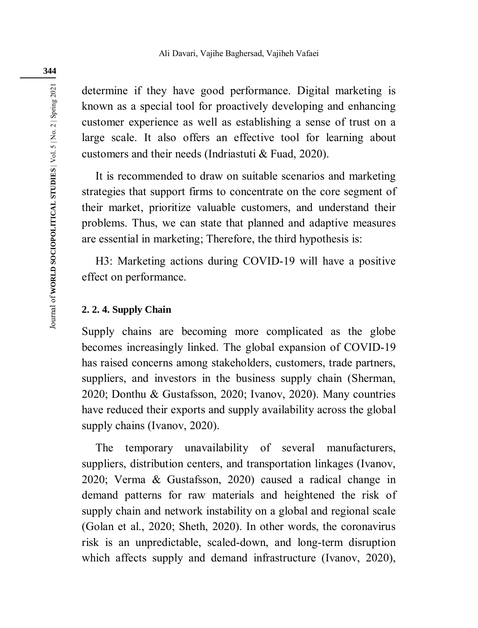determine if they have good performance. Digital marketing is known as a special tool for proactively developing and enhancing customer experience as well as establishing a sense of trust on a large scale. It also offers an effective tool for learning about customers and their needs (Indriastuti & Fuad, 2020).

It is recommended to draw on suitable scenarios and marketing strategies that support firms to concentrate on the core segment of their market, prioritize valuable customers, and understand their problems. Thus, we can state that planned and adaptive measures are essential in marketing; Therefore, the third hypothesis is:

H3: Marketing actions during COVID-19 will have a positive effect on performance.

### **2. 2. 4. Supply Chain**

Supply chains are becoming more complicated as the globe becomes increasingly linked. The global expansion of COVID-19 has raised concerns among stakeholders, customers, trade partners, suppliers, and investors in the business supply chain (Sherman, 2020; Donthu & Gustafsson, 2020; Ivanov, 2020). Many countries have reduced their exports and supply availability across the global supply chains (Ivanov, 2020).

The temporary unavailability of several manufacturers, suppliers, distribution centers, and transportation linkages (Ivanov, 2020; Verma & Gustafsson, 2020) caused a radical change in demand patterns for raw materials and heightened the risk of supply chain and network instability on a global and regional scale (Golan et al., 2020; Sheth, 2020). In other words, the coronavirus risk is an unpredictable, scaled-down, and long-term disruption which affects supply and demand infrastructure (Ivanov, 2020),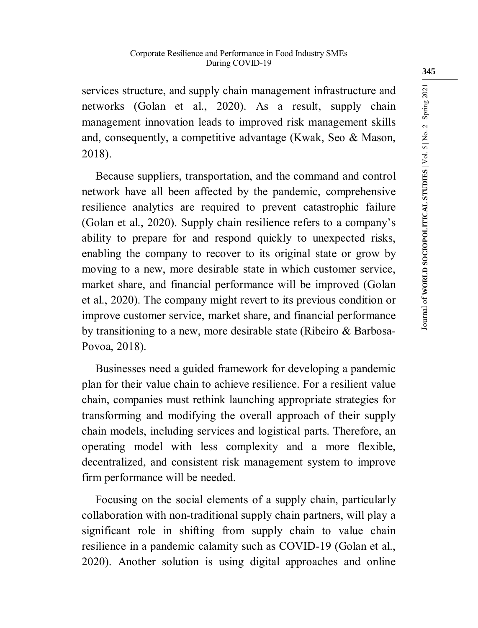services structure, and supply chain management infrastructure and networks (Golan et al., 2020). As a result, supply chain management innovation leads to improved risk management skills and, consequently, a competitive advantage (Kwak, Seo & Mason, 2018).

Because suppliers, transportation, and the command and control network have all been affected by the pandemic, comprehensive resilience analytics are required to prevent catastrophic failure (Golan et al., 2020). Supply chain resilience refers to a company's ability to prepare for and respond quickly to unexpected risks, enabling the company to recover to its original state or grow by moving to a new, more desirable state in which customer service, market share, and financial performance will be improved (Golan et al., 2020). The company might revert to its previous condition or improve customer service, market share, and financial performance by transitioning to a new, more desirable state (Ribeiro & Barbosa-Povoa, 2018).

Businesses need a guided framework for developing a pandemic plan for their value chain to achieve resilience. For a resilient value chain, companies must rethink launching appropriate strategies for transforming and modifying the overall approach of their supply chain models, including services and logistical parts. Therefore, an operating model with less complexity and a more flexible, decentralized, and consistent risk management system to improve firm performance will be needed.

Focusing on the social elements of a supply chain, particularly collaboration with non-traditional supply chain partners, will play a significant role in shifting from supply chain to value chain resilience in a pandemic calamity such as COVID-19 (Golan et al., 2020). Another solution is using digital approaches and online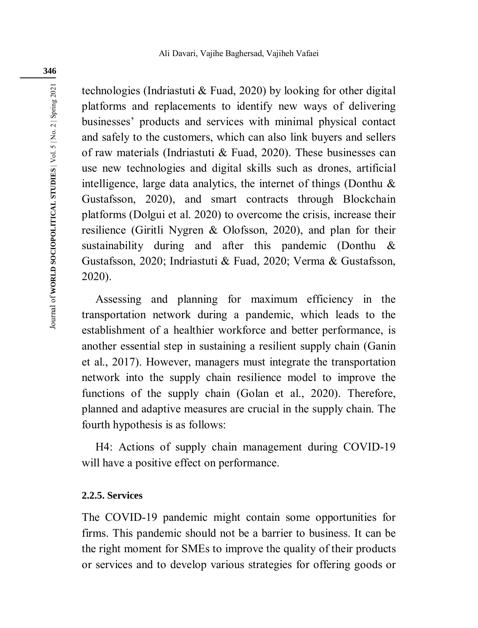technologies (Indriastuti & Fuad, 2020) by looking for other digital platforms and replacements to identify new ways of delivering businesses' products and services with minimal physical contact and safely to the customers, which can also link buyers and sellers of raw materials (Indriastuti & Fuad, 2020). These businesses can use new technologies and digital skills such as drones, artificial intelligence, large data analytics, the internet of things (Donthu  $\&$ Gustafsson, 2020), and smart contracts through Blockchain platforms (Dolgui et al. 2020) to overcome the crisis, increase their resilience (Giritli Nygren & Olofsson, 2020), and plan for their sustainability during and after this pandemic (Donthu & Gustafsson, 2020; Indriastuti & Fuad, 2020; Verma & Gustafsson, 2020).

Assessing and planning for maximum efficiency in the transportation network during a pandemic, which leads to the establishment of a healthier workforce and better performance, is another essential step in sustaining a resilient supply chain (Ganin et al., 2017). However, managers must integrate the transportation network into the supply chain resilience model to improve the functions of the supply chain (Golan et al., 2020). Therefore, planned and adaptive measures are crucial in the supply chain. The fourth hypothesis is as follows:

H4: Actions of supply chain management during COVID-19 will have a positive effect on performance.

### **2.2.5. Services**

The COVID-19 pandemic might contain some opportunities for firms. This pandemic should not be a barrier to business. It can be the right moment for SMEs to improve the quality of their products or services and to develop various strategies for offering goods or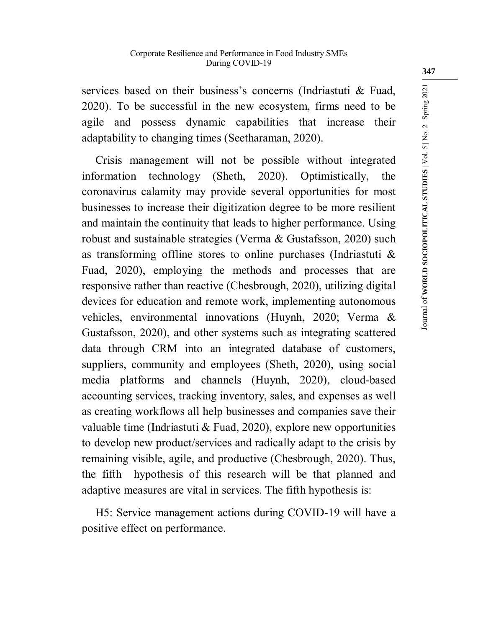services based on their business's concerns (Indriastuti & Fuad, 2020). To be successful in the new ecosystem, firms need to be agile and possess dynamic capabilities that increase their adaptability to changing times (Seetharaman, 2020).

Crisis management will not be possible without integrated information technology (Sheth, 2020). Optimistically, the coronavirus calamity may provide several opportunities for most businesses to increase their digitization degree to be more resilient and maintain the continuity that leads to higher performance. Using robust and sustainable strategies (Verma & Gustafsson, 2020) such as transforming offline stores to online purchases (Indriastuti & Fuad, 2020), employing the methods and processes that are responsive rather than reactive (Chesbrough, 2020), utilizing digital devices for education and remote work, implementing autonomous vehicles, environmental innovations (Huynh, 2020; Verma & Gustafsson, 2020), and other systems such as integrating scattered data through CRM into an integrated database of customers, suppliers, community and employees (Sheth, 2020), using social media platforms and channels (Huynh, 2020), cloud-based accounting services, tracking inventory, sales, and expenses as well as creating workflows all help businesses and companies save their valuable time (Indriastuti & Fuad, 2020), explore new opportunities to develop new product/services and radically adapt to the crisis by remaining visible, agile, and productive (Chesbrough, 2020). Thus, the fifth hypothesis of this research will be that planned and adaptive measures are vital in services. The fifth hypothesis is:

H5: Service management actions during COVID-19 will have a positive effect on performance.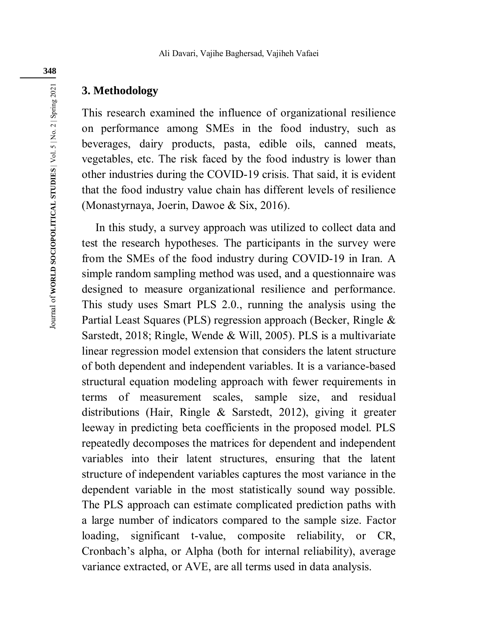# **3. Methodology**

This research examined the influence of organizational resilience on performance among SMEs in the food industry, such as beverages, dairy products, pasta, edible oils, canned meats, vegetables, etc. The risk faced by the food industry is lower than other industries during the COVID-19 crisis. That said, it is evident that the food industry value chain has different levels of resilience (Monastyrnaya, Joerin, Dawoe & Six, 2016).

In this study, a survey approach was utilized to collect data and test the research hypotheses. The participants in the survey were from the SMEs of the food industry during COVID-19 in Iran. A simple random sampling method was used, and a questionnaire was designed to measure organizational resilience and performance. This study uses Smart PLS 2.0., running the analysis using the Partial Least Squares (PLS) regression approach (Becker, Ringle & Sarstedt, 2018; Ringle, Wende & Will, 2005). PLS is a multivariate linear regression model extension that considers the latent structure of both dependent and independent variables. It is a variance-based structural equation modeling approach with fewer requirements in terms of measurement scales, sample size, and residual distributions (Hair, Ringle & Sarstedt, 2012), giving it greater leeway in predicting beta coefficients in the proposed model. PLS repeatedly decomposes the matrices for dependent and independent variables into their latent structures, ensuring that the latent structure of independent variables captures the most variance in the dependent variable in the most statistically sound way possible. The PLS approach can estimate complicated prediction paths with a large number of indicators compared to the sample size. Factor loading, significant t-value, composite reliability, or CR, Cronbach's alpha, or Alpha (both for internal reliability), average variance extracted, or AVE, are all terms used in data analysis.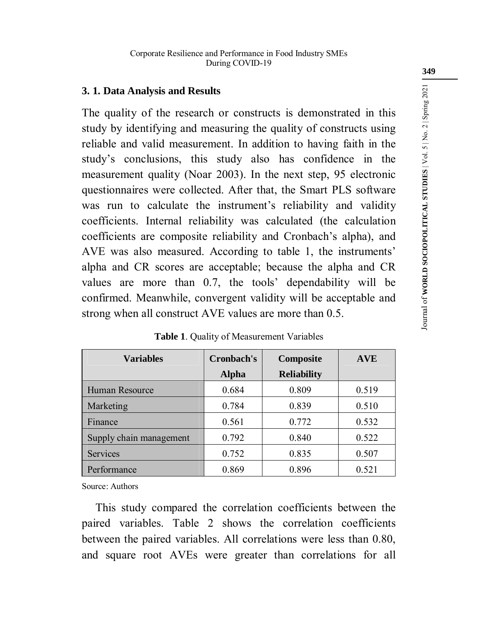### **3. 1. Data Analysis and Results**

The quality of the research or constructs is demonstrated in this study by identifying and measuring the quality of constructs using reliable and valid measurement. In addition to having faith in the study's conclusions, this study also has confidence in the measurement quality (Noar 2003). In the next step, 95 electronic questionnaires were collected. After that, the Smart PLS software was run to calculate the instrument's reliability and validity coefficients. Internal reliability was calculated (the calculation coefficients are composite reliability and Cronbach's alpha), and AVE was also measured. According to table 1, the instruments' alpha and CR scores are acceptable; because the alpha and CR values are more than 0.7, the tools' dependability will be confirmed. Meanwhile, convergent validity will be acceptable and strong when all construct AVE values are more than 0.5.

| <b>Variables</b>        | Cronbach's | Composite          | <b>AVE</b> |
|-------------------------|------------|--------------------|------------|
|                         | Alpha      | <b>Reliability</b> |            |
| Human Resource          | 0.684      | 0.809              | 0.519      |
| Marketing               | 0.784      | 0.839              | 0.510      |
| Finance                 | 0.561      | 0.772              | 0.532      |
| Supply chain management | 0.792      | 0.840              | 0.522      |
| Services                | 0.752      | 0.835              | 0.507      |
| Performance             | 0.869      | 0.896              | 0.521      |

**Table 1**. Quality of Measurement Variables

Source: Authors

This study compared the correlation coefficients between the paired variables. Table 2 shows the correlation coefficients between the paired variables. All correlations were less than 0.80, and square root AVEs were greater than correlations for all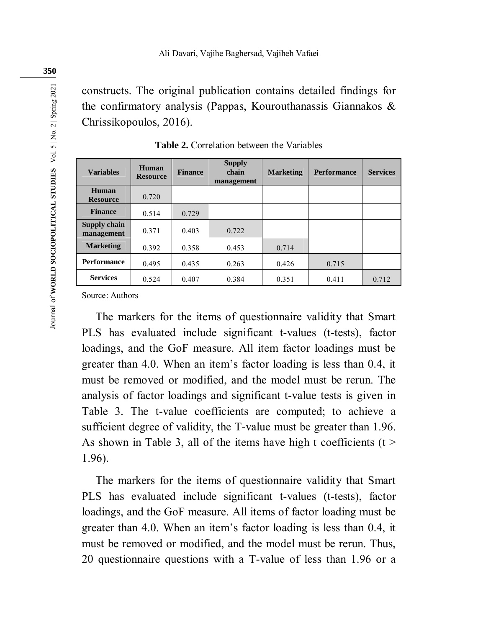constructs. The original publication contains detailed findings for the confirmatory analysis (Pappas, Kourouthanassis Giannakos & Chrissikopoulos, 2016).

| <b>Variables</b>           | Human<br><b>Resource</b> | <b>Finance</b> | <b>Supply</b><br>chain<br>management | <b>Marketing</b> | <b>Performance</b> | <b>Services</b> |
|----------------------------|--------------------------|----------------|--------------------------------------|------------------|--------------------|-----------------|
| Human<br><b>Resource</b>   | 0.720                    |                |                                      |                  |                    |                 |
| <b>Finance</b>             | 0.514                    | 0.729          |                                      |                  |                    |                 |
| Supply chain<br>management | 0.371                    | 0.403          | 0.722                                |                  |                    |                 |
| <b>Marketing</b>           | 0.392                    | 0.358          | 0.453                                | 0.714            |                    |                 |
| <b>Performance</b>         | 0.495                    | 0.435          | 0.263                                | 0.426            | 0.715              |                 |
| <b>Services</b>            | 0.524                    | 0.407          | 0.384                                | 0.351            | 0.411              | 0.712           |

**Table 2.** Correlation between the Variables

Source: Authors

The markers for the items of questionnaire validity that Smart PLS has evaluated include significant t-values (t-tests), factor loadings, and the GoF measure. All item factor loadings must be greater than 4.0. When an item's factor loading is less than 0.4, it must be removed or modified, and the model must be rerun. The analysis of factor loadings and significant t-value tests is given in Table 3. The t-value coefficients are computed; to achieve a sufficient degree of validity, the T-value must be greater than 1.96. As shown in Table 3, all of the items have high t coefficients ( $t >$ 1.96).

The markers for the items of questionnaire validity that Smart PLS has evaluated include significant t-values (t-tests), factor loadings, and the GoF measure. All items of factor loading must be greater than 4.0. When an item's factor loading is less than 0.4, it must be removed or modified, and the model must be rerun. Thus, 20 questionnaire questions with a T-value of less than 1.96 or a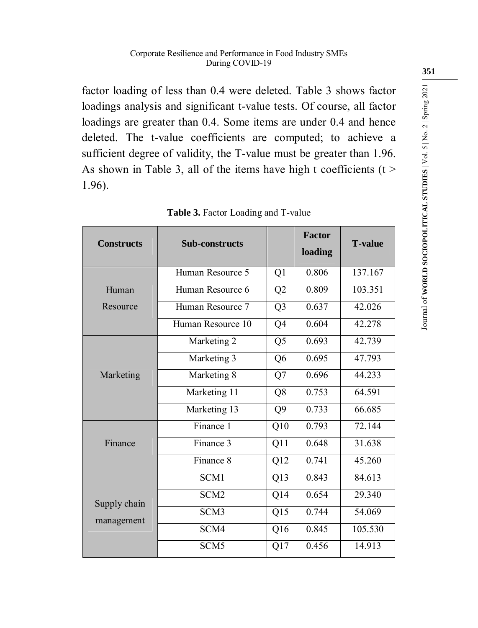factor loading of less than 0.4 were deleted. Table 3 shows factor loadings analysis and significant t-value tests. Of course, all factor loadings are greater than 0.4. Some items are under 0.4 and hence deleted. The t-value coefficients are computed; to achieve a sufficient degree of validity, the T-value must be greater than 1.96. As shown in Table 3, all of the items have high t coefficients ( $t >$ 1.96).

| <b>Constructs</b>          | <b>Sub-constructs</b> |                | <b>Factor</b><br>loading | <b>T-value</b> |
|----------------------------|-----------------------|----------------|--------------------------|----------------|
|                            | Human Resource 5      | Q1             | 0.806                    | 137.167        |
| Human                      | Human Resource 6      | Q2             | 0.809                    | 103.351        |
| Resource                   | Human Resource 7      | Q <sub>3</sub> | 0.637                    | 42.026         |
|                            | Human Resource 10     | Q4             | 0.604                    | 42.278         |
|                            | Marketing 2           | Q <sub>5</sub> | 0.693                    | 42.739         |
|                            | Marketing 3           | Q <sub>6</sub> | 0.695                    | 47.793         |
| Marketing                  | Marketing 8<br>Q7     |                | 0.696                    | 44.233         |
|                            | Marketing 11          | Q8             | 0.753                    | 64.591         |
|                            | Marketing 13          | Q <sub>9</sub> | 0.733                    | 66.685         |
|                            | Finance 1             | Q10            | 0.793                    | 72.144         |
| Finance                    | Finance 3             | Q11            | 0.648                    | 31 638         |
|                            | Finance 8             | Q12            | 0.741                    | 45.260         |
|                            | SCM1                  | Q13            | 0.843                    | 84.613         |
| Supply chain<br>management | SCM <sub>2</sub>      | Q14            | 0.654                    | 29.340         |
|                            | SCM3                  | Q15            | 0.744                    | 54.069         |
|                            | SCM4                  | Q16            | 0.845                    | 105.530        |
|                            | SCM <sub>5</sub>      | Q17            | 0.456                    | 14.913         |

**Table 3.** Factor Loading and T-value

Journal of **WORLD SOCIOPOLITICAL STUDIES** | Vol. 5 | No. 2 | Spring 2021

Journal of WORLD SOCIOPOLITICAL STUDIES | Vol. 5 | No. 2 | Spring 2021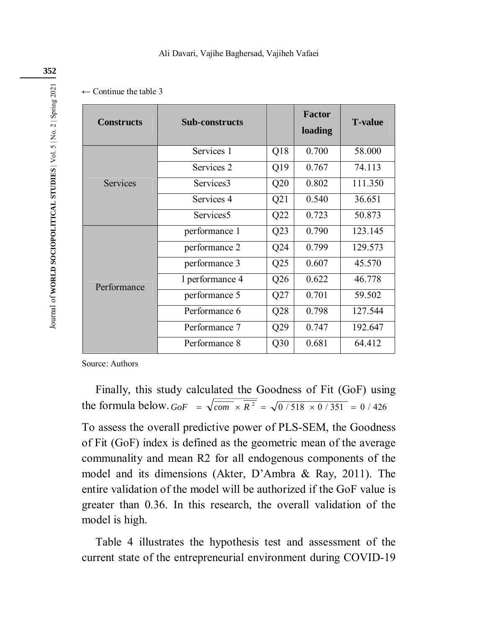#### Ali Davari, Vajihe Baghersad, Vajiheh Vafaei

| $\leftarrow$ Continue the table 3 |  |
|-----------------------------------|--|
|-----------------------------------|--|

| <b>Constructs</b> | <b>Sub-constructs</b> |                 | <b>Factor</b><br>loading | <b>T-value</b> |
|-------------------|-----------------------|-----------------|--------------------------|----------------|
|                   | Services 1            | Q18             | 0.700                    | 58.000         |
|                   | Services 2            | Q19             | 0.767                    | 74.113         |
| <b>Services</b>   | Services3             | Q20             | 0.802                    | 111.350        |
|                   | Services 4            | Q21             | 0.540                    | 36.651         |
|                   | Services <sub>5</sub> | Q22             | 0.723                    | 50.873         |
|                   | performance 1         | Q23             | 0.790                    | 123.145        |
|                   | performance 2         | Q24             | 0.799                    | 129.573        |
| Performance       | performance 3         | Q25             | 0.607                    | 45.570         |
|                   | 1 performance 4       | Q26             | 0.622                    | 46.778         |
|                   | performance 5         | Q27             | 0.701                    | 59.502         |
|                   | Performance 6         | Q28             | 0.798                    | 127.544        |
|                   | Performance 7         | Q29             | 0.747                    | 192.647        |
|                   | Performance 8         | Q <sub>30</sub> | 0.681                    | 64.412         |

Source: Authors

Finally, this study calculated the Goodness of Fit (GoF) using the formula below.  $GoF = \sqrt{\frac{cm}{com \times R^2}} = \sqrt{0/518 \times 0/351} = 0/426$ 

To assess the overall predictive power of PLS-SEM, the Goodness of Fit (GoF) index is defined as the geometric mean of the average communality and mean R2 for all endogenous components of the model and its dimensions (Akter, D'Ambra & Ray, 2011). The entire validation of the model will be authorized if the GoF value is greater than 0.36. In this research, the overall validation of the model is high.

Table 4 illustrates the hypothesis test and assessment of the current state of the entrepreneurial environment during COVID-19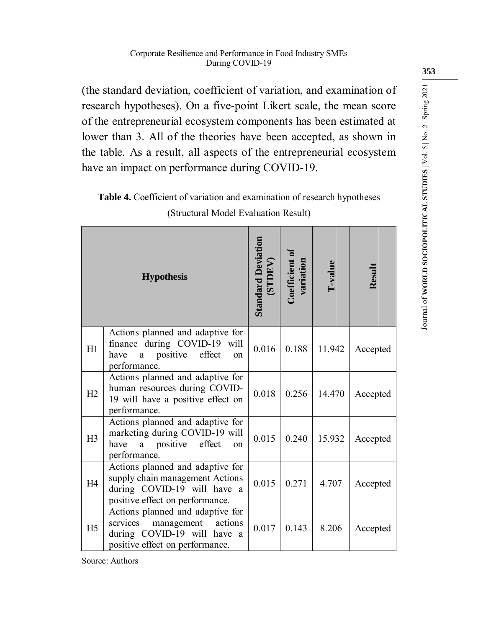(the standard deviation, coefficient of variation, and examination of research hypotheses). On a five-point Likert scale, the mean score of the entrepreneurial ecosystem components has been estimated at lower than 3. All of the theories have been accepted, as shown in the table. As a result, all aspects of the entrepreneurial ecosystem have an impact on performance during COVID-19.

# **Table 4.** Coefficient of variation and examination of research hypotheses (Structural Model Evaluation Result)

|                | <b>Hypothesis</b>                                                                                                                                  | <b>Standard Deviation</b><br>(STDEV) | Coefficient of<br>variation | I-value | Result   |
|----------------|----------------------------------------------------------------------------------------------------------------------------------------------------|--------------------------------------|-----------------------------|---------|----------|
| H1             | Actions planned and adaptive for<br>finance during COVID-19 will<br>positive<br>effect<br>have<br>a<br><sub>on</sub><br>performance.               | 0.016                                | 0.188                       | 11.942  | Accepted |
| H2             | Actions planned and adaptive for<br>human resources during COVID-<br>19 will have a positive effect on<br>performance.                             | 0.018                                | 0.256                       | 14.470  | Accepted |
| H3             | Actions planned and adaptive for<br>marketing during COVID-19 will<br>effect<br>have<br>positive<br>a<br>on<br>performance.                        | 0.015                                | 0.240                       | 15.932  | Accepted |
| H4             | Actions planned and adaptive for<br>supply chain management Actions<br>during COVID-19 will have a<br>positive effect on performance.              | 0.015                                | 0.271                       | 4.707   | Accepted |
| H <sub>5</sub> | Actions planned and adaptive for<br>services<br>management actions<br>during COVID-19 will have<br><sub>a</sub><br>positive effect on performance. | 0.017                                | 0.143                       | 8.206   | Accepted |

Source: Authors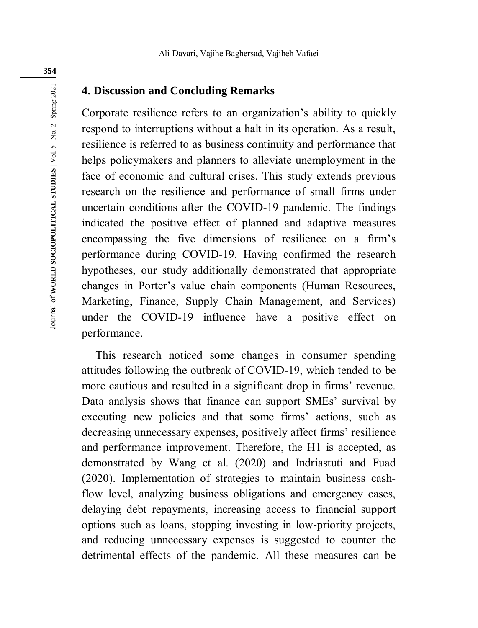# **4. Discussion and Concluding Remarks**

Corporate resilience refers to an organization's ability to quickly respond to interruptions without a halt in its operation. As a result, resilience is referred to as business continuity and performance that helps policymakers and planners to alleviate unemployment in the face of economic and cultural crises. This study extends previous research on the resilience and performance of small firms under uncertain conditions after the COVID-19 pandemic. The findings indicated the positive effect of planned and adaptive measures encompassing the five dimensions of resilience on a firm's performance during COVID-19. Having confirmed the research hypotheses, our study additionally demonstrated that appropriate changes in Porter's value chain components (Human Resources, Marketing, Finance, Supply Chain Management, and Services) under the COVID-19 influence have a positive effect on performance.

This research noticed some changes in consumer spending attitudes following the outbreak of COVID-19, which tended to be more cautious and resulted in a significant drop in firms' revenue. Data analysis shows that finance can support SMEs' survival by executing new policies and that some firms' actions, such as decreasing unnecessary expenses, positively affect firms' resilience and performance improvement. Therefore, the H1 is accepted, as demonstrated by Wang et al. (2020) and Indriastuti and Fuad (2020). Implementation of strategies to maintain business cashflow level, analyzing business obligations and emergency cases, delaying debt repayments, increasing access to financial support options such as loans, stopping investing in low-priority projects, and reducing unnecessary expenses is suggested to counter the detrimental effects of the pandemic. All these measures can be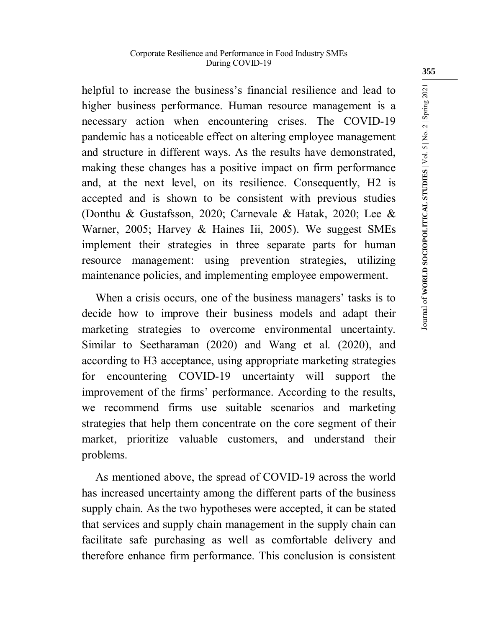helpful to increase the business's financial resilience and lead to higher business performance. Human resource management is a necessary action when encountering crises. The COVID-19 pandemic has a noticeable effect on altering employee management and structure in different ways. As the results have demonstrated, making these changes has a positive impact on firm performance and, at the next level, on its resilience. Consequently, H2 is accepted and is shown to be consistent with previous studies (Donthu & Gustafsson, 2020; Carnevale & Hatak, 2020; Lee & Warner, 2005; Harvey & Haines Iii, 2005). We suggest SMEs implement their strategies in three separate parts for human resource management: using prevention strategies, utilizing maintenance policies, and implementing employee empowerment.

When a crisis occurs, one of the business managers' tasks is to decide how to improve their business models and adapt their marketing strategies to overcome environmental uncertainty. Similar to Seetharaman (2020) and Wang et al. (2020), and according to H3 acceptance, using appropriate marketing strategies for encountering COVID-19 uncertainty will support the improvement of the firms' performance. According to the results, we recommend firms use suitable scenarios and marketing strategies that help them concentrate on the core segment of their market, prioritize valuable customers, and understand their problems.

As mentioned above, the spread of COVID-19 across the world has increased uncertainty among the different parts of the business supply chain. As the two hypotheses were accepted, it can be stated that services and supply chain management in the supply chain can facilitate safe purchasing as well as comfortable delivery and therefore enhance firm performance. This conclusion is consistent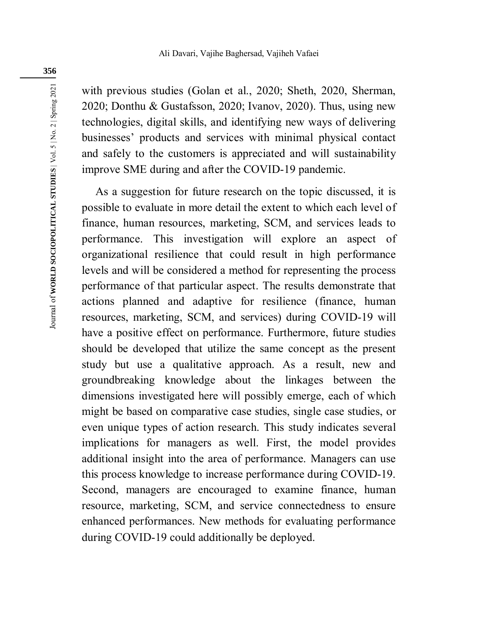with previous studies (Golan et al., 2020; Sheth, 2020, Sherman, 2020; Donthu & Gustafsson, 2020; Ivanov, 2020). Thus, using new technologies, digital skills, and identifying new ways of delivering businesses' products and services with minimal physical contact and safely to the customers is appreciated and will sustainability improve SME during and after the COVID-19 pandemic.

As a suggestion for future research on the topic discussed, it is possible to evaluate in more detail the extent to which each level of finance, human resources, marketing, SCM, and services leads to performance. This investigation will explore an aspect of organizational resilience that could result in high performance levels and will be considered a method for representing the process performance of that particular aspect. The results demonstrate that actions planned and adaptive for resilience (finance, human resources, marketing, SCM, and services) during COVID-19 will have a positive effect on performance. Furthermore, future studies should be developed that utilize the same concept as the present study but use a qualitative approach. As a result, new and groundbreaking knowledge about the linkages between the dimensions investigated here will possibly emerge, each of which might be based on comparative case studies, single case studies, or even unique types of action research. This study indicates several implications for managers as well. First, the model provides additional insight into the area of performance. Managers can use this process knowledge to increase performance during COVID-19. Second, managers are encouraged to examine finance, human resource, marketing, SCM, and service connectedness to ensure enhanced performances. New methods for evaluating performance during COVID-19 could additionally be deployed.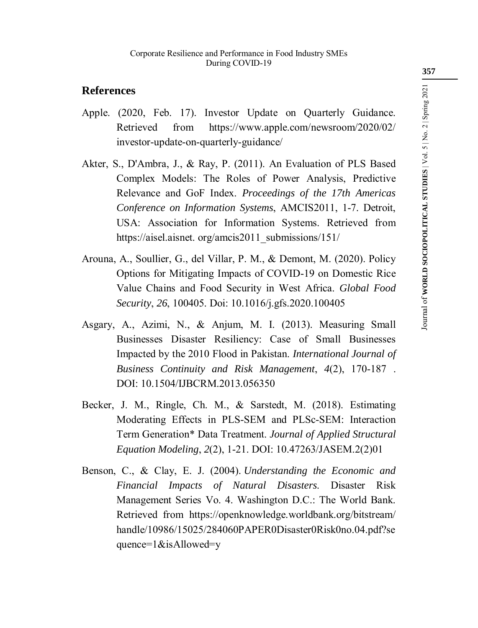# **References**

- Apple. (2020, Feb. 17). Investor Update on Quarterly Guidance. Retrieved from https://www.apple.com/newsroom/2020/02/ investor-update-on-quarterly-guidance/
- Akter, S., D'Ambra, J., & Ray, P. (2011). An Evaluation of PLS Based Complex Models: The Roles of Power Analysis, Predictive Relevance and GoF Index. *Proceedings of the 17th Americas Conference on Information Systems*, AMCIS2011, 1-7. Detroit, USA: Association for Information Systems. Retrieved from https://aisel.aisnet.org/amcis2011\_submissions/151/
- Arouna, A., Soullier, G., del Villar, P. M., & Demont, M. (2020). Policy Options for Mitigating Impacts of COVID-19 on Domestic Rice Value Chains and Food Security in West Africa. *Global Food Security*, *26*, 100405. Doi: 10.1016/j.gfs.2020.100405
- Asgary, A., Azimi, N., & Anjum, M. I. (2013). Measuring Small Businesses Disaster Resiliency: Case of Small Businesses Impacted by the 2010 Flood in Pakistan. *International Journal of Business Continuity and Risk Management*, *4*(2), 170-187 . DOI: 10.1504/IJBCRM.2013.056350
- Becker, J. M., Ringle, Ch. M., & Sarstedt, M. (2018). Estimating Moderating Effects in PLS-SEM and PLSc-SEM: Interaction Term Generation\* Data Treatment. *Journal of Applied Structural Equation Modeling*, *2*(2), 1-21. DOI: 10.47263/JASEM.2(2)01
- Benson, C., & Clay, E. J. (2004). *Understanding the Economic and Financial Impacts of Natural Disasters*. Disaster Risk Management Series Vo. 4. Washington D.C.: The World Bank. Retrieved from https://openknowledge.worldbank.org/bitstream/ handle/10986/15025/284060PAPER0Disaster0Risk0no.04.pdf?se quence=1&isAllowed=y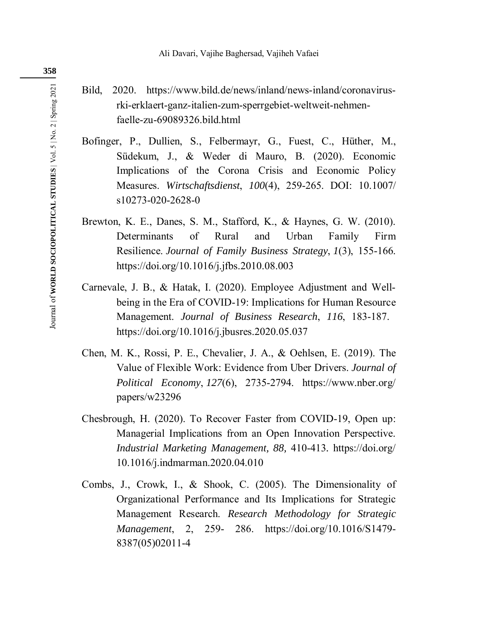# Bild, 2020. https://www.bild.de/news/inland/news-inland/coronavirusrki-erklaert-ganz-italien-zum-sperrgebiet-weltweit-nehmenfaelle-zu-69089326.bild.html

- Bofinger, P., Dullien, S., Felbermayr, G., Fuest, C., Hüther, M., Südekum, J., & Weder di Mauro, B. (2020). Economic Implications of the Corona Crisis and Economic Policy Measures. *Wirtschaftsdienst*, *100*(4), 259-265. DOI: 10.1007/ s10273-020-2628-0
- Brewton, K. E., Danes, S. M., Stafford, K., & Haynes, G. W. (2010). Determinants of Rural and Urban Family Firm Resilience. *Journal of Family Business Strategy*, *1*(3), 155-166. https://doi.org/10.1016/j.jfbs.2010.08.003
- Carnevale, J. B., & Hatak, I. (2020). Employee Adjustment and Wellbeing in the Era of COVID-19: Implications for Human Resource Management. *Journal of Business Research*, *116*, 183-187. https://doi.org/10.1016/j.jbusres.2020.05.037
- Chen, M. K., Rossi, P. E., Chevalier, J. A., & Oehlsen, E. (2019). The Value of Flexible Work: Evidence from Uber Drivers. *Journal of Political Economy*, *127*(6), 2735-2794. https://www.nber.org/ papers/w23296
- Chesbrough, H. (2020). To Recover Faster from COVID-19, Open up: Managerial Implications from an Open Innovation Perspective. *Industrial Marketing Management, 88,* 410-413*.* https://doi.org/ 10.1016/j.indmarman.2020.04.010
- Combs, J., Crowk, I., & Shook, C. (2005). The Dimensionality of Organizational Performance and Its Implications for Strategic Management Research. *Research Methodology for Strategic Management*, 2, 259- 286. https://doi.org/10.1016/S1479- 8387(05)02011-4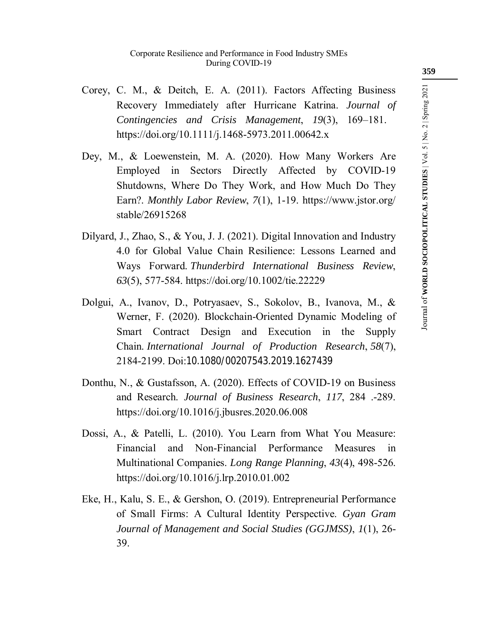- Corey, C. M., & Deitch, E. A. (2011). Factors Affecting Business Recovery Immediately after Hurricane Katrina. *Journal of Contingencies and Crisis Management*, *19*(3), 169–181. https://doi.org/10.1111/j.1468-5973.2011.00642.x
- Dey, M., & Loewenstein, M. A. (2020). How Many Workers Are Employed in Sectors Directly Affected by COVID-19 Shutdowns, Where Do They Work, and How Much Do They Earn?. *Monthly Labor Review*, *7*(1), 1-19. https://www.jstor.org/ stable/26915268
- Dilyard, J., Zhao, S., & You, J. J. (2021). Digital Innovation and Industry 4.0 for Global Value Chain Resilience: Lessons Learned and Ways Forward. *Thunderbird International Business Review*, *63*(5), 577-584. https://doi.org/10.1002/tie.22229
- Dolgui, A., Ivanov, D., Potryasaev, S., Sokolov, B., Ivanova, M., & Werner, F. (2020). Blockchain-Oriented Dynamic Modeling of Smart Contract Design and Execution in the Supply Chain. *International Journal of Production Research*, *58*(7), 2184-2199. Doi:10.1080/00207543.2019.1627439
- Donthu, N., & Gustafsson, A. (2020). Effects of COVID-19 on Business and Research. *Journal of Business Research*, *117*, 284 .-289. https://doi.org/10.1016/j.jbusres.2020.06.008
- Dossi, A., & Patelli, L. (2010). You Learn from What You Measure: Financial and Non-Financial Performance Measures in Multinational Companies. *Long Range Planning*, *43*(4), 498-526. https://doi.org/10.1016/j.lrp.2010.01.002
- Eke, H., Kalu, S. E., & Gershon, O. (2019). Entrepreneurial Performance of Small Firms: A Cultural Identity Perspective. *Gyan Gram Journal of Management and Social Studies (GGJMSS)*, *1*(1), 26- 39.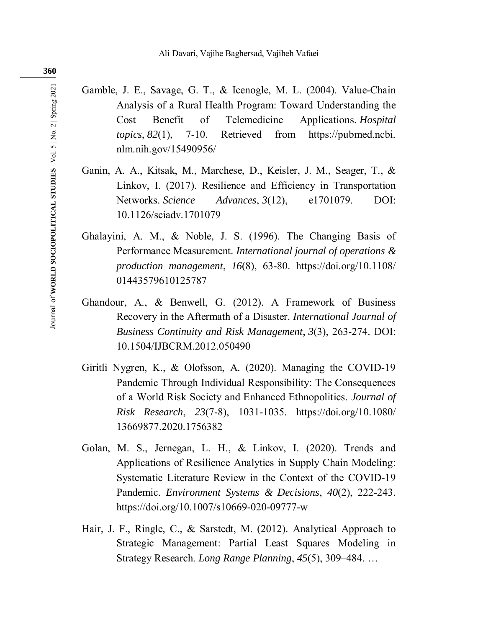- Gamble, J. E., Savage, G. T., & Icenogle, M. L. (2004). Value-Chain Analysis of a Rural Health Program: Toward Understanding the Cost Benefit of Telemedicine Applications. *Hospital topics*, *82*(1), 7-10. Retrieved from https://pubmed.ncbi. nlm.nih.gov/15490956/
- Ganin, A. A., Kitsak, M., Marchese, D., Keisler, J. M., Seager, T., & Linkov, I. (2017). Resilience and Efficiency in Transportation Networks. *Science Advances*, *3*(12), e1701079. DOI: 10.1126/sciadv.1701079
- Ghalayini, A. M., & Noble, J. S. (1996). The Changing Basis of Performance Measurement. *International journal of operations & production management*, *16*(8), 63-80. https://doi.org/10.1108/ 01443579610125787
- Ghandour, A., & Benwell, G. (2012). A Framework of Business Recovery in the Aftermath of a Disaster. *International Journal of Business Continuity and Risk Management*, *3*(3), 263-274. DOI: 10.1504/IJBCRM.2012.050490
- Giritli Nygren, K., & Olofsson, A. (2020). Managing the COVID-19 Pandemic Through Individual Responsibility: The Consequences of a World Risk Society and Enhanced Ethnopolitics. *Journal of Risk Research*, *23*(7-8), 1031-1035. https://doi.org/10.1080/ 13669877.2020.1756382
- Golan, M. S., Jernegan, L. H., & Linkov, I. (2020). Trends and Applications of Resilience Analytics in Supply Chain Modeling: Systematic Literature Review in the Context of the COVID-19 Pandemic. *Environment Systems & Decisions*, *40*(2), 222-243. https://doi.org/10.1007/s10669-020-09777-w
- Hair, J. F., Ringle, C., & Sarstedt, M. (2012). Analytical Approach to Strategic Management: Partial Least Squares Modeling in Strategy Research. *Long Range Planning*, *45*(5), 309–484. …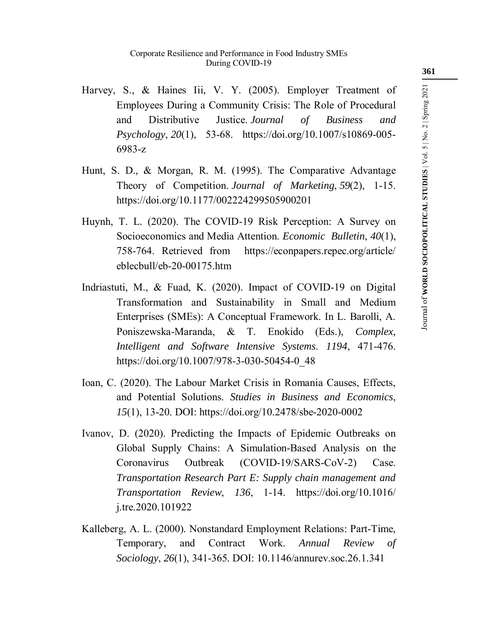- Harvey, S., & Haines Iii, V. Y. (2005). Employer Treatment of Employees During a Community Crisis: The Role of Procedural and Distributive Justice. *Journal of Business and Psychology*, *20*(1), 53-68. https://doi.org/10.1007/s10869-005- 6983-z
- Hunt, S. D., & Morgan, R. M. (1995). The Comparative Advantage Theory of Competition. *Journal of Marketing*, *59*(2), 1-15. https://doi.org/10.1177/002224299505900201
- Huynh, T. L. (2020). The COVID-19 Risk Perception: A Survey on Socioeconomics and Media Attention. *Economic Bulletin*, *40*(1), 758-764. Retrieved from https://econpapers.repec.org/article/ eblecbull/eb-20-00175.htm
- Indriastuti, M., & Fuad, K. (2020). Impact of COVID-19 on Digital Transformation and Sustainability in Small and Medium Enterprises (SMEs): A Conceptual Framework. In L. Barolli, A. Poniszewska-Maranda, & T. Enokido (Eds.), *Complex, Intelligent and Software Intensive Systems*. *1194*, 471-476. https://doi.org/10.1007/978-3-030-50454-0\_48
- Ioan, C. (2020). The Labour Market Crisis in Romania Causes, Effects, and Potential Solutions. *Studies in Business and Economics*, *15*(1), 13-20. DOI: https://doi.org/10.2478/sbe-2020-0002
- Ivanov, D. (2020). Predicting the Impacts of Epidemic Outbreaks on Global Supply Chains: A Simulation-Based Analysis on the Coronavirus Outbreak (COVID-19/SARS-CoV-2) Case. *Transportation Research Part E: Supply chain management and Transportation Review*, *136*, 1-14. https://doi.org/10.1016/ j.tre.2020.101922
- Kalleberg, A. L. (2000). Nonstandard Employment Relations: Part-Time, Temporary, and Contract Work. *Annual Review of Sociology*, *26*(1), 341-365. DOI: 10.1146/annurev.soc.26.1.341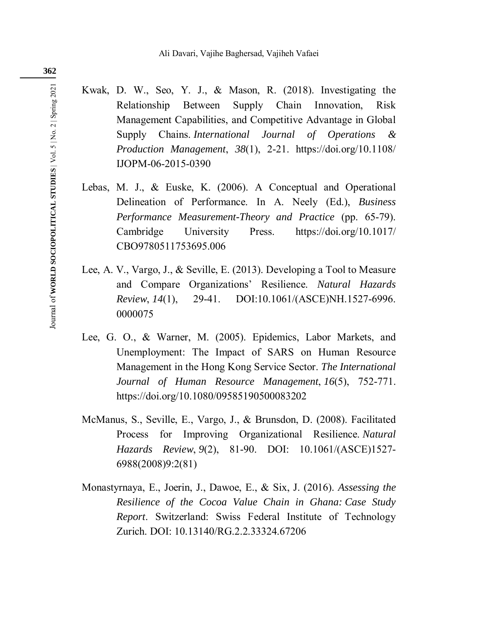- Kwak, D. W., Seo, Y. J., & Mason, R. (2018). Investigating the Relationship Between Supply Chain Innovation, Risk Management Capabilities, and Competitive Advantage in Global Supply Chains. *International Journal of Operations & Production Management*, *38*(1), 2-21. https://doi.org/10.1108/ IJOPM-06-2015-0390
- Lebas, M. J., & Euske, K. (2006). A Conceptual and Operational Delineation of Performance. In A. Neely (Ed.), *Business Performance Measurement-Theory and Practice* (pp. 65-79). Cambridge University Press. https://doi.org/10.1017/ CBO9780511753695.006
- Lee, A. V., Vargo, J., & Seville, E. (2013). Developing a Tool to Measure and Compare Organizations' Resilience. *Natural Hazards Review*, *14*(1), 29-41. DOI:10.1061/(ASCE)NH.1527-6996. 0000075
- Lee, G. O., & Warner, M. (2005). Epidemics, Labor Markets, and Unemployment: The Impact of SARS on Human Resource Management in the Hong Kong Service Sector. *The International Journal of Human Resource Management*, *16*(5), 752-771. https://doi.org/10.1080/09585190500083202
- McManus, S., Seville, E., Vargo, J., & Brunsdon, D. (2008). Facilitated Process for Improving Organizational Resilience. *Natural Hazards Review*, *9*(2), 81-90. DOI: 10.1061/(ASCE)1527- 6988(2008)9:2(81)
- Monastyrnaya, E., Joerin, J., Dawoe, E., & Six, J. (2016). *Assessing the Resilience of the Cocoa Value Chain in Ghana: Case Study Report*. Switzerland: Swiss Federal Institute of Technology Zurich. DOI: 10.13140/RG.2.2.33324.67206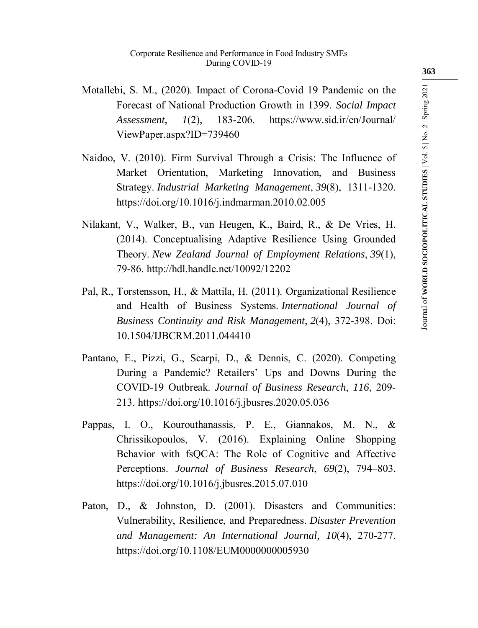- Motallebi, S. M., (2020). Impact of Corona-Covid 19 Pandemic on the Forecast of National Production Growth in 1399. *Social Impact Assessment*, *1*(2), 183-206. https://www.sid.ir/en/Journal/ ViewPaper.aspx?ID=739460
- Naidoo, V. (2010). Firm Survival Through a Crisis: The Influence of Market Orientation, Marketing Innovation, and Business Strategy. *Industrial Marketing Management*, *39*(8), 1311-1320. https://doi.org/10.1016/j.indmarman.2010.02.005
- Nilakant, V., Walker, B., van Heugen, K., Baird, R., & De Vries, H. (2014). Conceptualising Adaptive Resilience Using Grounded Theory. *New Zealand Journal of Employment Relations*, *39*(1), 79-86. http://hdl.handle.net/10092/12202
- Pal, R., Torstensson, H., & Mattila, H. (2011). Organizational Resilience and Health of Business Systems. *International Journal of Business Continuity and Risk Management*, *2*(4), 372-398. Doi: 10.1504/IJBCRM.2011.044410
- Pantano, E., Pizzi, G., Scarpi, D., & Dennis, C. (2020). Competing During a Pandemic? Retailers' Ups and Downs During the COVID-19 Outbreak. *Journal of Business Research*, *116*, 209- 213. https://doi.org/10.1016/j.jbusres.2020.05.036
- Pappas, I. O., Kourouthanassis, P. E., Giannakos, M. N., & Chrissikopoulos, V. (2016). Explaining Online Shopping Behavior with fsQCA: The Role of Cognitive and Affective Perceptions. *Journal of Business Research*, *69*(2), 794–803. https://doi.org/10.1016/j.jbusres.2015.07.010
- Paton, D., & Johnston, D. (2001). Disasters and Communities: Vulnerability, Resilience, and Preparedness. *Disaster Prevention and Management: An International Journal, 10*(4), 270-277. https://doi.org/10.1108/EUM0000000005930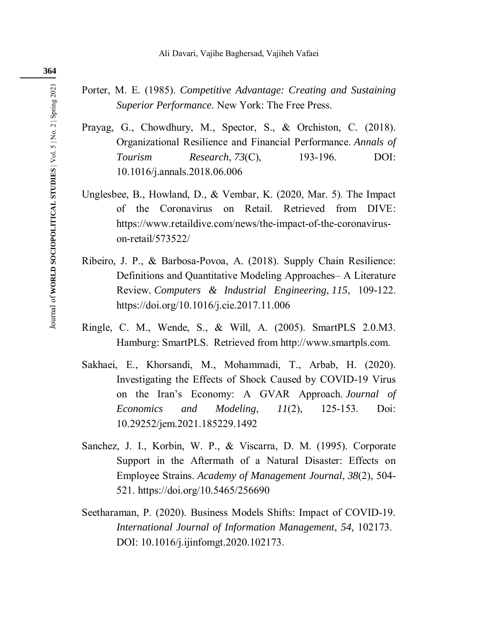- Porter, M. E. (1985). *Competitive Advantage: Creating and Sustaining Superior Performance*. New York: The Free Press.
- Prayag, G., Chowdhury, M., Spector, S., & Orchiston, C. (2018). Organizational Resilience and Financial Performance. *Annals of Tourism Research*, *73*(C), 193-196. DOI: 10.1016/j.annals.2018.06.006
- Unglesbee, B., Howland, D., & Vembar, K. (2020, Mar. 5). The Impact of the Coronavirus on Retail. Retrieved from DIVE: https://www.retaildive.com/news/the-impact-of-the-coronaviruson-retail/573522/
- Ribeiro, J. P., & Barbosa-Povoa, A. (2018). Supply Chain Resilience: Definitions and Quantitative Modeling Approaches– A Literature Review. *Computers & Industrial Engineering*, *115*, 109-122. https://doi.org/10.1016/j.cie.2017.11.006
- Ringle, C. M., Wende, S., & Will, A. (2005). SmartPLS 2.0.M3. Hamburg: SmartPLS. Retrieved from http://www.smartpls.com.
- Sakhaei, E., Khorsandi, M., Mohammadi, T., Arbab, H. (2020). Investigating the Effects of Shock Caused by COVID-19 Virus on the Iran's Economy: A GVAR Approach. *Journal of Economics and Modeling*, *11*(2), 125-153. Doi: 10.29252/jem.2021.185229.1492
- Sanchez, J. I., Korbin, W. P., & Viscarra, D. M. (1995). Corporate Support in the Aftermath of a Natural Disaster: Effects on Employee Strains. *Academy of Management Journal*, *38*(2), 504- 521. https://doi.org/10.5465/256690
- Seetharaman, P. (2020). Business Models Shifts: Impact of COVID-19. *International Journal of Information Management*, *54*, 102173. DOI: 10.1016/j.ijinfomgt.2020.102173.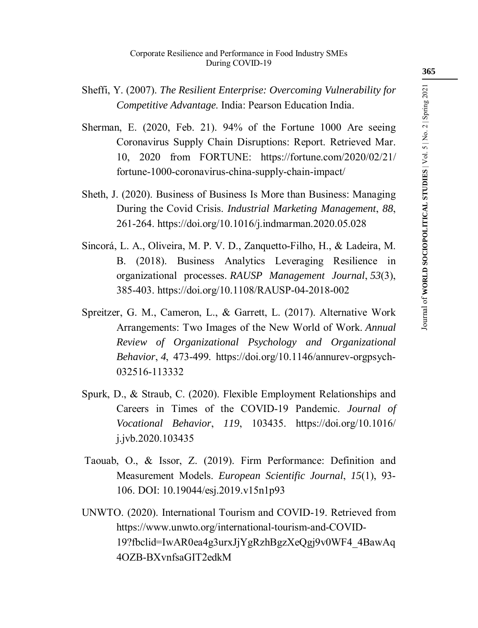- Sheffi, Y. (2007). *The Resilient Enterprise: Overcoming Vulnerability for Competitive Advantage*. India: Pearson Education India.
- Sherman, E. (2020, Feb. 21). 94% of the Fortune 1000 Are seeing Coronavirus Supply Chain Disruptions: Report. Retrieved Mar. 10, 2020 from FORTUNE: https://fortune.com/2020/02/21/ fortune-1000-coronavirus-china-supply-chain-impact/
- Sheth, J. (2020). Business of Business Is More than Business: Managing During the Covid Crisis. *Industrial Marketing Management*, *88*, 261-264. https://doi.org/10.1016/j.indmarman.2020.05.028
- Sincorá, L. A., Oliveira, M. P. V. D., Zanquetto-Filho, H., & Ladeira, M. B. (2018). Business Analytics Leveraging Resilience in organizational processes. *RAUSP Management Journal*, *53*(3), 385-403. https://doi.org/10.1108/RAUSP-04-2018-002
- Spreitzer, G. M., Cameron, L., & Garrett, L. (2017). Alternative Work Arrangements: Two Images of the New World of Work. *Annual Review of Organizational Psychology and Organizational Behavior*, *4*, 473-499. https://doi.org/10.1146/annurev-orgpsych-032516-113332
- Spurk, D., & Straub, C. (2020). Flexible Employment Relationships and Careers in Times of the COVID-19 Pandemic. *Journal of Vocational Behavior*, *119*, 103435. https://doi.org/10.1016/ j.jvb.2020.103435
- Taouab, O., & Issor, Z. (2019). Firm Performance: Definition and Measurement Models. *European Scientific Journal*, *15*(1), 93- 106. DOI: 10.19044/esj.2019.v15n1p93
- UNWTO. (2020). International Tourism and COVID-19. Retrieved from https://www.unwto.org/international-tourism-and-COVID-19?fbclid=IwAR0ea4g3urxJjYgRzhBgzXeQgj9v0WF4\_4BawAq 4OZB-BXvnfsaGIT2edkM